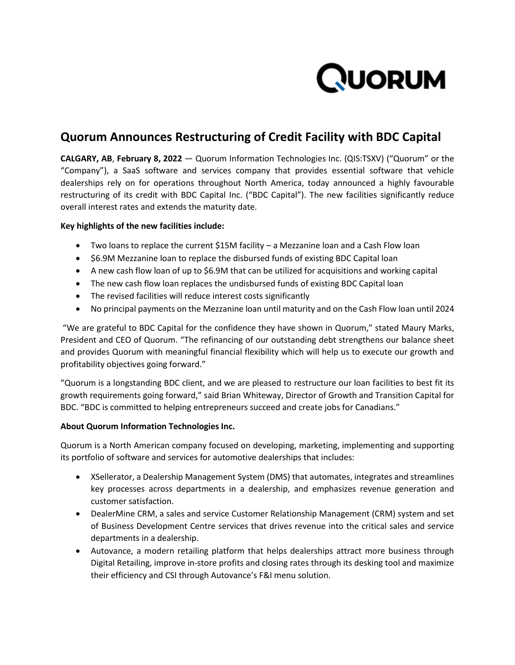

# **Quorum Announces Restructuring of Credit Facility with BDC Capital**

**CALGARY, AB**, **February 8, 2022** — Quorum Information Technologies Inc. (QIS:TSXV) ("Quorum" or the "Company"), a SaaS software and services company that provides essential software that vehicle dealerships rely on for operations throughout North America, today announced a highly favourable restructuring of its credit with BDC Capital Inc. ("BDC Capital"). The new facilities significantly reduce overall interest rates and extends the maturity date.

## **Key highlights of the new facilities include:**

- Two loans to replace the current \$15M facility a Mezzanine loan and a Cash Flow loan
- \$6.9M Mezzanine loan to replace the disbursed funds of existing BDC Capital loan
- A new cash flow loan of up to \$6.9M that can be utilized for acquisitions and working capital
- The new cash flow loan replaces the undisbursed funds of existing BDC Capital loan
- The revised facilities will reduce interest costs significantly
- No principal payments on the Mezzanine loan until maturity and on the Cash Flow loan until 2024

"We are grateful to BDC Capital for the confidence they have shown in Quorum," stated Maury Marks, President and CEO of Quorum. "The refinancing of our outstanding debt strengthens our balance sheet and provides Quorum with meaningful financial flexibility which will help us to execute our growth and profitability objectives going forward."

"Quorum is a longstanding BDC client, and we are pleased to restructure our loan facilities to best fit its growth requirements going forward," said Brian Whiteway, Director of Growth and Transition Capital for BDC. "BDC is committed to helping entrepreneurs succeed and create jobs for Canadians."

### **About Quorum Information Technologies Inc.**

Quorum is a North American company focused on developing, marketing, implementing and supporting its portfolio of software and services for automotive dealerships that includes:

- XSellerator, a Dealership Management System (DMS) that automates, integrates and streamlines key processes across departments in a dealership, and emphasizes revenue generation and customer satisfaction.
- DealerMine CRM, a sales and service Customer Relationship Management (CRM) system and set of Business Development Centre services that drives revenue into the critical sales and service departments in a dealership.
- Autovance, a modern retailing platform that helps dealerships attract more business through Digital Retailing, improve in-store profits and closing rates through its desking tool and maximize their efficiency and CSI through Autovance's F&I menu solution.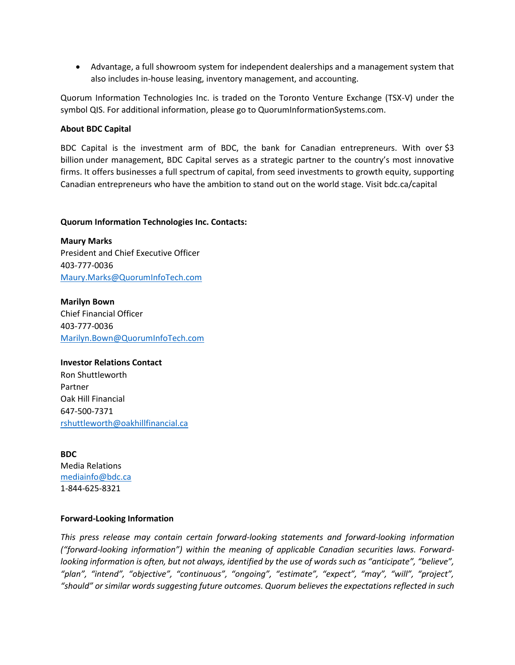Advantage, a full showroom system for independent dealerships and a management system that also includes in-house leasing, inventory management, and accounting.

Quorum Information Technologies Inc. is traded on the Toronto Venture Exchange (TSX-V) under the symbol QIS. For additional information, please go to QuorumInformationSystems.com.

### **About BDC Capital**

BDC Capital is the investment arm of BDC, the bank for Canadian entrepreneurs. With over \$3 billion under management, BDC Capital serves as a strategic partner to the country's most innovative firms. It offers businesses a full spectrum of capital, from seed investments to growth equity, supporting Canadian entrepreneurs who have the ambition to stand out on the world stage. Visit bdc.ca/capital

#### **Quorum Information Technologies Inc. Contacts:**

**Maury Marks** President and Chief Executive Officer 403-777-0036 [Maury.Marks@QuorumInfoTech.com](mailto:Maury.Marks@QuorumInfoTech.com)

**Marilyn Bown** Chief Financial Officer 403-777-0036 [Marilyn.Bown@QuorumInfoTech.com](mailto:Marilyn.Bown@QuorumInfoTech.com)

**Investor Relations Contact** Ron Shuttleworth Partner Oak Hill Financial 647-500-7371 [rshuttleworth@oakhillfinancial.ca](mailto:rshuttleworth@oakhillfinancial.ca)

**BDC** Media Relations [mediainfo@bdc.ca](mailto:mediainfo@bdc.ca) 1-844-625-8321

### **Forward-Looking Information**

*This press release may contain certain forward-looking statements and forward-looking information ("forward-looking information") within the meaning of applicable Canadian securities laws. Forwardlooking information is often, but not always, identified by the use of words such as "anticipate", "believe", "plan", "intend", "objective", "continuous", "ongoing", "estimate", "expect", "may", "will", "project", "should" or similar words suggesting future outcomes. Quorum believes the expectations reflected in such*